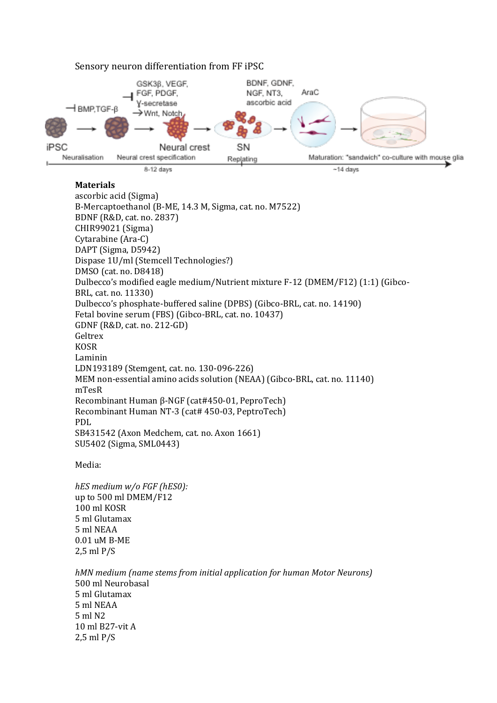

## Sensory neuron differentiation from FF iPSC

## **Materials**

ascorbic acid (Sigma) B-Mercaptoethanol (B-ME, 14.3 M, Sigma, cat. no. M7522) BDNF (R&D, cat. no. 2837) CHIR99021 (Sigma) Cytarabine (Ara-C) DAPT (Sigma, D5942) Dispase 1U/ml (Stemcell Technologies?) DMSO (cat. no. D8418) Dulbecco's modified eagle medium/Nutrient mixture F-12 (DMEM/F12) (1:1) (Gibco-BRL, cat. no. 11330) Dulbecco's phosphate-buffered saline (DPBS) (Gibco-BRL, cat. no. 14190) Fetal bovine serum (FBS) (Gibco-BRL, cat. no. 10437) GDNF (R&D, cat. no. 212-GD) Geltrex KOSR Laminin LDN193189 (Stemgent, cat. no. 130-096-226) MEM non-essential amino acids solution (NEAA) (Gibco-BRL, cat. no. 11140) mTesR Recombinant Human β-NGF (cat#450-01, PeproTech) Recombinant Human NT-3 (cat# 450-03, PeptroTech) PDL SB431542 (Axon Medchem, cat. no. Axon 1661) SU5402 (Sigma, SML0443)

Media:

*hES medium w/o FGF (hES0):* up to 500 ml DMEM/F12 100 ml KOSR 5 ml Glutamax 5 ml NEAA 0.01 uM B-ME 2,5 ml P/S

*hMN medium (name stems from initial application for human Motor Neurons)* 500 ml Neurobasal 5 ml Glutamax 5 ml NEAA 5 ml N2 10 ml B27-vit A 2,5 ml P/S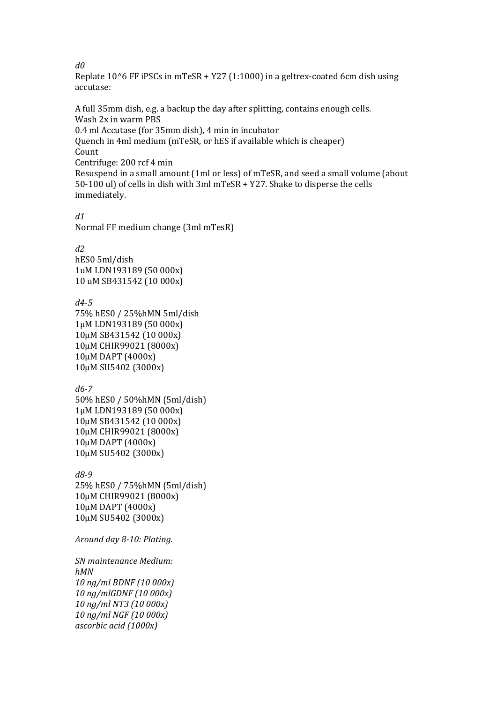*d0*

Replate  $10^6$  FF iPSCs in mTeSR + Y27 (1:1000) in a geltrex-coated 6cm dish using accutase:

A full 35mm dish, e.g. a backup the day after splitting, contains enough cells. Wash 2x in warm PBS 0.4 ml Accutase (for 35mm dish), 4 min in incubator Quench in 4ml medium (mTeSR, or hES if available which is cheaper) Count Centrifuge: 200 rcf 4 min Resuspend in a small amount (1ml or less) of mTeSR, and seed a small volume (about 50-100 ul) of cells in dish with 3ml mTeSR + Y27. Shake to disperse the cells immediately.

*d1*

Normal FF medium change (3ml mTesR)

*d2*

hES0 5ml/dish 1uM LDN193189 (50 000x) 10 uM SB431542 (10 000x)

*d4-5*

75% hES0 / 25%hMN 5ml/dish 1μM LDN193189 (50 000x) 10μM SB431542 (10 000x) 10μM CHIR99021 (8000x) 10μM DAPT (4000x) 10μM SU5402 (3000x)

*d6-7*

50% hES0 / 50%hMN (5ml/dish) 1μM LDN193189 (50 000x) 10μM SB431542 (10 000x) 10μM CHIR99021 (8000x) 10μM DAPT (4000x) 10μM SU5402 (3000x)

*d8-9*

25% hES0 / 75%hMN (5ml/dish) 10μM CHIR99021 (8000x) 10μM DAPT (4000x) 10μM SU5402 (3000x)

*Around day 8-10: Plating.*

*SN maintenance Medium: hMN 10 ng/ml BDNF (10 000x) 10 ng/mlGDNF (10 000x) 10 ng/ml NT3 (10 000x) 10 ng/ml NGF (10 000x) ascorbic acid (1000x)*